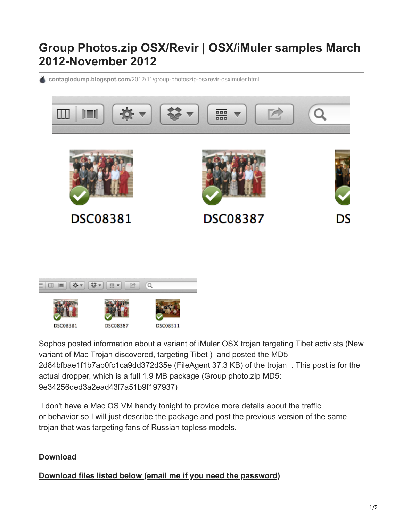## **Group Photos.zip OSX/Revir | OSX/iMuler samples March 2012-November 2012**

**contagiodump.blogspot.com**[/2012/11/group-photoszip-osxrevir-osximuler.html](http://contagiodump.blogspot.com/2012/11/group-photoszip-osxrevir-osximuler.html)





[Sophos posted information about a variant of iMuler OSX trojan targeting Tibet activists \(New](http://nakedsecurity.sophos.com/2012/11/13/new-mac-trojan/) variant of Mac Trojan discovered, targeting Tibet ) and posted the MD5 2d84bfbae1f1b7ab0fc1ca9dd372d35e (FileAgent 37.3 KB) of the trojan . This post is for the actual dropper, which is a full 1.9 MB package (Group photo.zip MD5: 9e34256ded3a2ead43f7a51b9f197937)

 I don't have a Mac OS VM handy tonight to provide more details about the traffic or behavior so I will just describe the package and post the previous version of the same trojan that was targeting fans of Russian topless models.

## **Download**

**[Download files listed below \(email me if you need the password\)](http://contagio.deependresearch.org/files/OSX/OSX-imuler.zip)**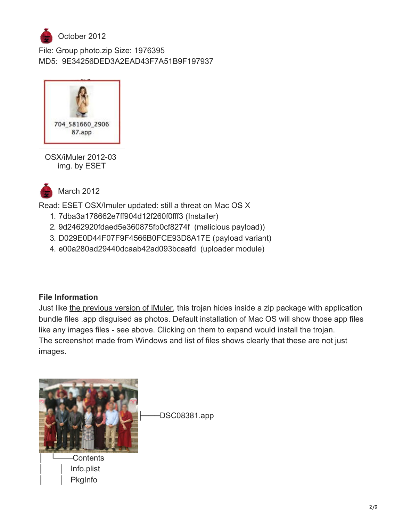

File: Group photo.zip Size: 1976395 MD5: 9E34256DED3A2EAD43F7A51B9F197937



OSX/iMuler 2012-03 img. by ESET



March 2012

Read: **ESET OSX/Imuler updated: still a threat on Mac OS X** 

- 1. 7dba3a178662e7ff904d12f260f0fff3 (Installer)
- 2. 9d2462920fdaed5e360875fb0cf8274f (malicious payload))
- 3. D029E0D44F07F9F4566B0FCE93D8A17E (payload variant)
- 4. e00a280ad29440dcaab42ad093bcaafd (uploader module)

## **File Information**

Just like [the previous version of iMuler](http://blog.eset.com/2012/03/16/osximuler-updated-still-a-threat-on-mac-os-x), this trojan hides inside a zip package with application bundle files .app disguised as photos. Default installation of Mac OS will show those app files like any images files - see above. Clicking on them to expand would install the trojan. The screenshot made from Windows and list of files shows clearly that these are not just images.

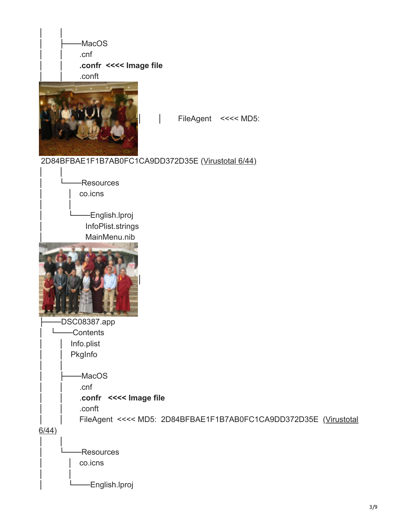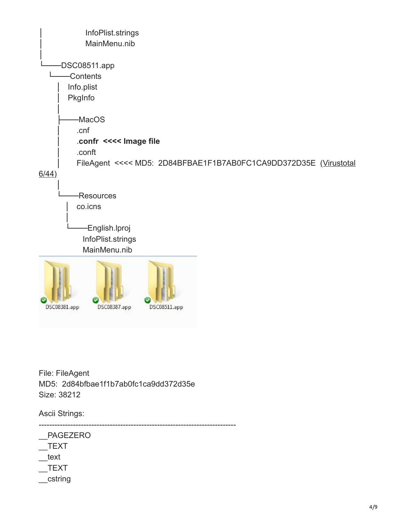

File: FileAgent MD5: 2d84bfbae1f1b7ab0fc1ca9dd372d35e Size: 38212

Ascii Strings:

--------------------------------------------------------------------------- \_\_PAGEZERO \_\_TEXT \_\_text \_\_TEXT

\_\_cstring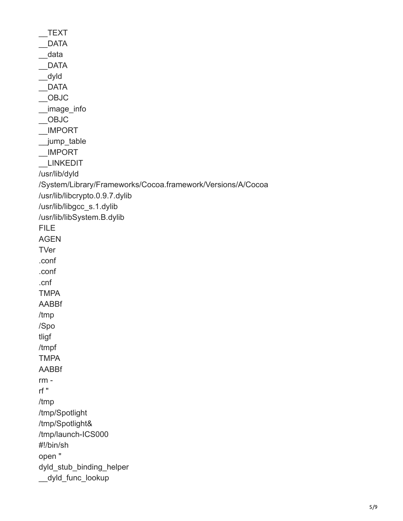\_\_TEXT DATA \_\_data \_\_DATA \_\_dyld \_\_DATA \_\_OBJC \_\_image\_info \_\_OBJC \_\_IMPORT \_\_jump\_table \_\_IMPORT \_\_LINKEDIT /usr/lib/dyld /System/Library/Frameworks/Cocoa.framework/Versions/A/Cocoa /usr/lib/libcrypto.0.9.7.dylib /usr/lib/libgcc\_s.1.dylib /usr/lib/libSystem.B.dylib FILE AGEN **TVer** .conf .conf .cnf TMPA AABBf /tmp /Spo tligf /tmpf TMPA AABBf rm rf " /tmp /tmp/Spotlight /tmp/Spotlight& /tmp/launch-ICS000 #!/bin/sh open " dyld stub binding helper \_\_dyld\_func\_lookup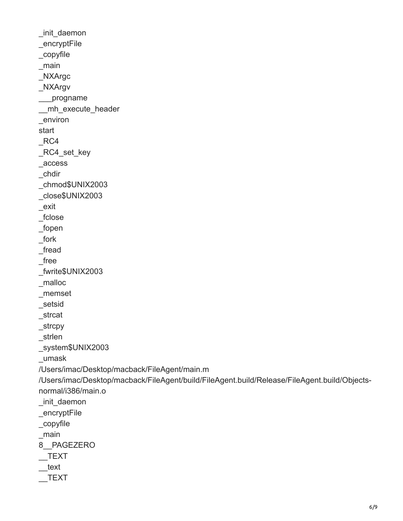```
_init_daemon
_encryptFile
_copyfile
_main
_NXArgc
_NXArgv
___progname
__mh_execute_header
_environ
start
\_RC4_RC4_set_key
_access
_chdir
_chmod$UNIX2003
_close$UNIX2003
_exit
_fclose
_fopen
_fork
_fread
_free
_fwrite$UNIX2003
_malloc
_memset
_setsid
_strcat
_strcpy
_strlen
_system$UNIX2003
_umask
/Users/imac/Desktop/macback/FileAgent/main.m
/Users/imac/Desktop/macback/FileAgent/build/FileAgent.build/Release/FileAgent.build/Objects-
normal/i386/main.o
_init_daemon
_encryptFile
_copyfile
_main
8__PAGEZERO
TEXT
 __text
 __TEXT
```

```
6/9
```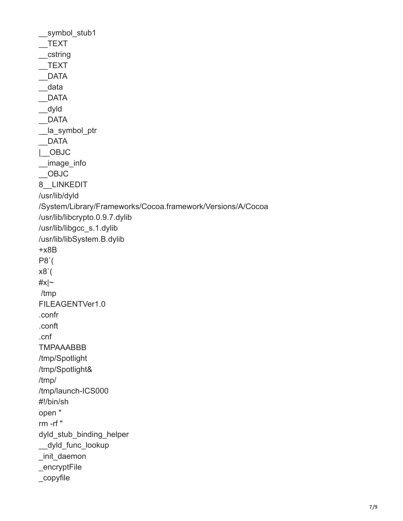symbol stub1 \_\_TEXT \_\_cstring  $Text$ \_\_DATA \_\_data \_\_DATA \_\_dyld \_\_DATA la symbol ptr \_\_DATA |\_\_OBJC \_\_image\_info \_\_OBJC 8\_\_LINKEDIT /usr/lib/dyld /System/Library/Frameworks/Cocoa.framework/Versions/A/Cocoa /usr/lib/libcrypto.0.9.7.dylib /usr/lib/libgcc\_s.1.dylib /usr/lib/libSystem.B.dylib +x8B P8`( x8`( #x|~ /tmp FILEAGENTVer1.0 .confr .conft .cnf TMPAAABBB /tmp/Spotlight /tmp/Spotlight& /tmp/ /tmp/launch-ICS000 #!/bin/sh open " rm -rf " dyld stub binding helper \_\_dyld\_func\_lookup \_init\_daemon \_encryptFile \_copyfile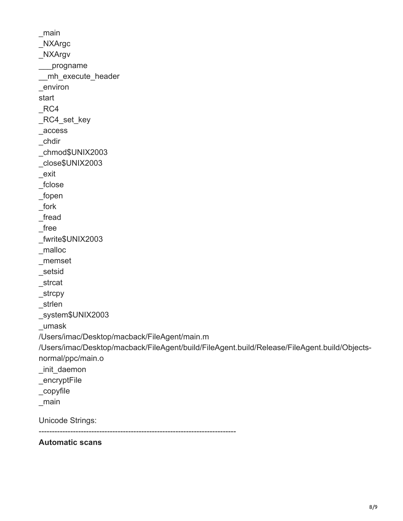\_main \_NXArgc \_NXArgv \_\_\_progname \_\_mh\_execute\_header \_environ start  $RC4$ \_RC4\_set\_key \_access \_chdir \_chmod\$UNIX2003 \_close\$UNIX2003 \_exit \_fclose \_fopen \_fork \_fread \_free \_fwrite\$UNIX2003 \_malloc \_memset \_setsid \_strcat \_strcpy \_strlen \_system\$UNIX2003 \_umask /Users/imac/Desktop/macback/FileAgent/main.m /Users/imac/Desktop/macback/FileAgent/build/FileAgent.build/Release/FileAgent.build/Objectsnormal/ppc/main.o \_init\_daemon \_encryptFile \_copyfile \_main Unicode Strings: ---------------------------------------------------------------------------

**Automatic scans**